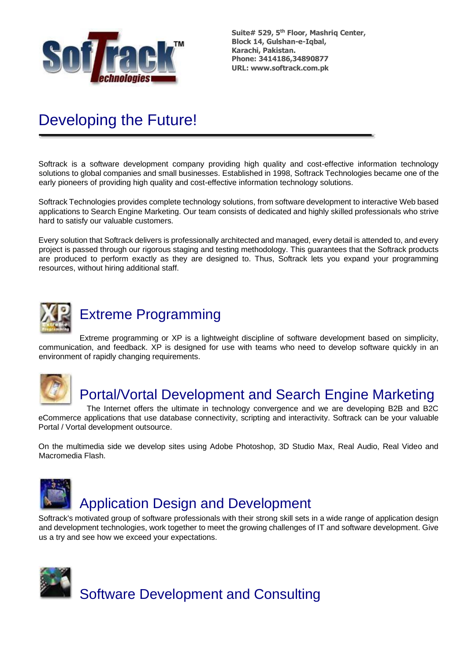

# Developing the Future!

Softrack is a software development company providing high quality and cost-effective information technology solutions to global companies and small businesses. Established in 1998, Softrack Technologies became one of the early pioneers of providing high quality and cost-effective information technology solutions.

Softrack Technologies provides complete technology solutions, from software development to interactive Web based applications to Search Engine Marketing. Our team consists of dedicated and highly skilled professionals who strive hard to satisfy our valuable customers.

Every solution that Softrack delivers is professionally architected and managed, every detail is attended to, and every project is passed through our rigorous staging and testing methodology. This guarantees that the Softrack products are produced to perform exactly as they are designed to. Thus, Softrack lets you expand your programming resources, without hiring additional staff.



## Extreme Programming

Extreme programming or XP is a lightweight discipline of software development based on simplicity, communication, and feedback. XP is designed for use with teams who need to develop software quickly in an environment of rapidly changing requirements.



## Portal/Vortal Development and Search Engine Marketing

The Internet offers the ultimate in technology convergence and we are developing B2B and B2C eCommerce applications that use database connectivity, scripting and interactivity. Softrack can be your valuable Portal / Vortal development outsource.

On the multimedia side we develop sites using Adobe Photoshop, 3D Studio Max, Real Audio, Real Video and Macromedia Flash.



Softrack's motivated group of software professionals with their strong skill sets in a wide range of application design and development technologies, work together to meet the growing challenges of IT and software development. Give us a try and see how we exceed your expectations.

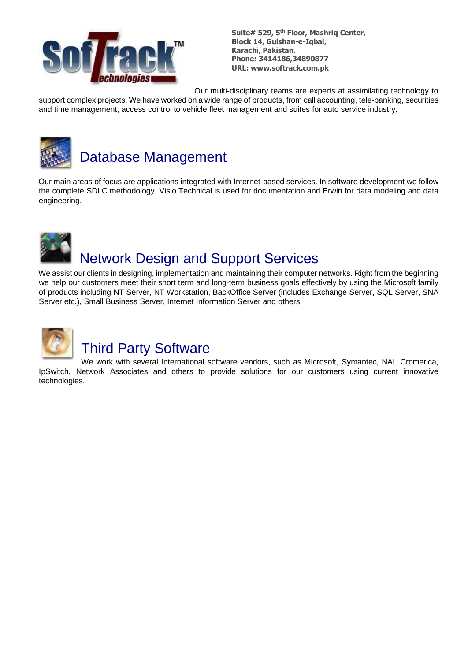

Our multi-disciplinary teams are experts at assimilating technology to

support complex projects. We have worked on a wide range of products, from call accounting, tele-banking, securities and time management, access control to vehicle fleet management and suites for auto service industry.



# Database Management

Our main areas of focus are applications integrated with Internet-based services. In software development we follow the complete SDLC methodology. Visio Technical is used for documentation and Erwin for data modeling and data engineering.



# Network Design and Support Services

We assist our clients in designing, implementation and maintaining their computer networks. Right from the beginning we help our customers meet their short term and long-term business goals effectively by using the Microsoft family of products including NT Server, NT Workstation, BackOffice Server (includes Exchange Server, SQL Server, SNA Server etc.), Small Business Server, Internet Information Server and others.



# Third Party Software

We work with several International software vendors, such as Microsoft, Symantec, NAI, Cromerica, IpSwitch, Network Associates and others to provide solutions for our customers using current innovative technologies.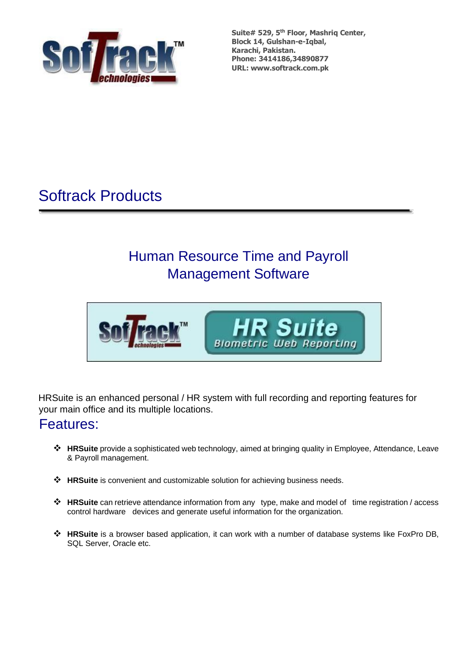

# Softrack Products

# Human Resource Time and Payroll Management Software



HRSuite is an enhanced personal / HR system with full recording and reporting features for your main office and its multiple locations.

## Features:

- ❖ **HRSuite** provide a sophisticated web technology, aimed at bringing quality in Employee, Attendance, Leave & Payroll management.
- ❖ **HRSuite** is convenient and customizable solution for achieving business needs.
- ❖ **HRSuite** can retrieve attendance information from any type, make and model of time registration / access control hardware devices and generate useful information for the organization.
- ❖ **HRSuite** is a browser based application, it can work with a number of database systems like FoxPro DB, SQL Server, Oracle etc.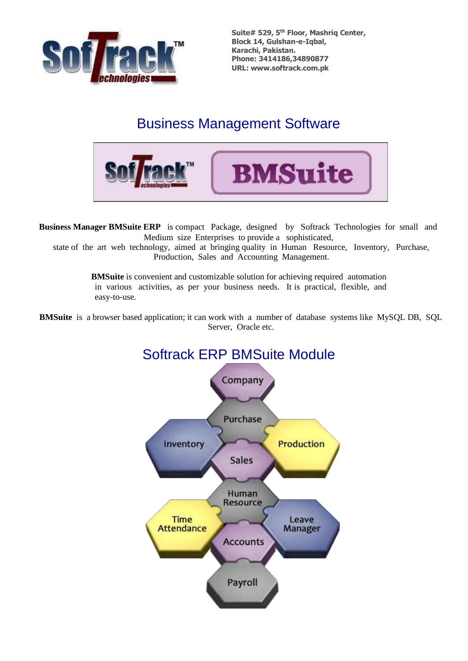

## Business Management Software



**Business Manager BMSuite ERP** is compact Package, designed by Softrack Technologies for small and Medium size Enterprises to provide a sophisticated,

state of the art web technology, aimed at bringing quality in Human Resource, Inventory, Purchase, Production, Sales and Accounting Management.

> **BMSuite** is convenient and customizable solution for achieving required automation in various activities, as per your business needs. It is practical, flexible, and easy-to-use.

**BMSuite** is a browser based application; it can work with a number of database systems like MySQL DB, SQL Server, Oracle etc.

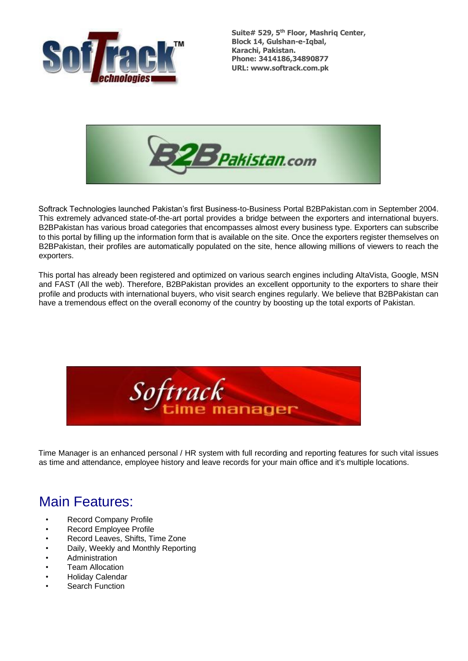



Softrack Technologies launched Pakistan's first Business-to-Business Portal B2BPakistan.com in September 2004. This extremely advanced state-of-the-art portal provides a bridge between the exporters and international buyers. B2BPakistan has various broad categories that encompasses almost every business type. Exporters can subscribe to this portal by filling up the information form that is available on the site. Once the exporters register themselves on B2BPakistan, their profiles are automatically populated on the site, hence allowing millions of viewers to reach the exporters.

This portal has already been registered and optimized on various search engines including AltaVista, Google, MSN and FAST (All the web). Therefore, B2BPakistan provides an excellent opportunity to the exporters to share their profile and products with international buyers, who visit search engines regularly. We believe that B2BPakistan can have a tremendous effect on the overall economy of the country by boosting up the total exports of Pakistan.



Time Manager is an enhanced personal / HR system with full recording and reporting features for such vital issues as time and attendance, employee history and leave records for your main office and it's multiple locations.

## Main Features:

- Record Company Profile
- Record Employee Profile
- Record Leaves, Shifts, Time Zone
- Daily, Weekly and Monthly Reporting
- Administration
- **Team Allocation**
- Holiday Calendar
- Search Function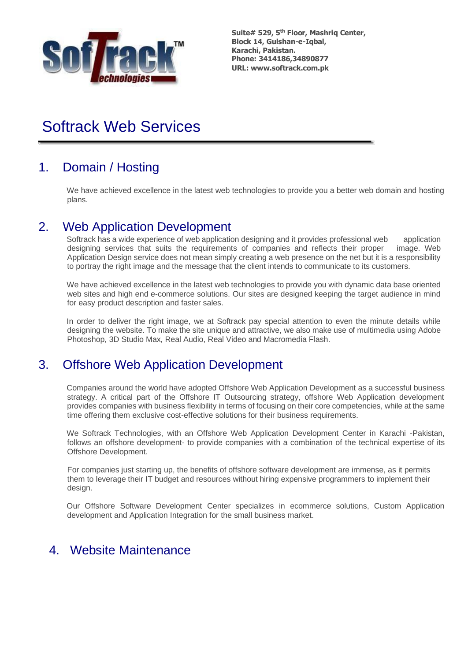

# Softrack Web Services

### 1. Domain / Hosting

We have achieved excellence in the latest web technologies to provide you a better web domain and hosting plans.

#### 2. Web Application Development

Softrack has a wide experience of web application designing and it provides professional web application designing services that suits the requirements of companies and reflects their proper image. Web Application Design service does not mean simply creating a web presence on the net but it is a responsibility to portray the right image and the message that the client intends to communicate to its customers.

We have achieved excellence in the latest web technologies to provide you with dynamic data base oriented web sites and high end e-commerce solutions. Our sites are designed keeping the target audience in mind for easy product description and faster sales.

In order to deliver the right image, we at Softrack pay special attention to even the minute details while designing the website. To make the site unique and attractive, we also make use of multimedia using Adobe Photoshop, 3D Studio Max, Real Audio, Real Video and Macromedia Flash.

#### 3. Offshore Web Application Development

Companies around the world have adopted Offshore Web Application Development as a successful business strategy. A critical part of the Offshore IT Outsourcing strategy, offshore Web Application development provides companies with business flexibility in terms of focusing on their core competencies, while at the same time offering them exclusive cost-effective solutions for their business requirements.

We Softrack Technologies, with an Offshore Web Application Development Center in Karachi -Pakistan, follows an offshore development- to provide companies with a combination of the technical expertise of its Offshore Development.

For companies just starting up, the benefits of offshore software development are immense, as it permits them to leverage their IT budget and resources without hiring expensive programmers to implement their design.

Our Offshore Software Development Center specializes in ecommerce solutions, Custom Application development and Application Integration for the small business market.

#### 4. Website Maintenance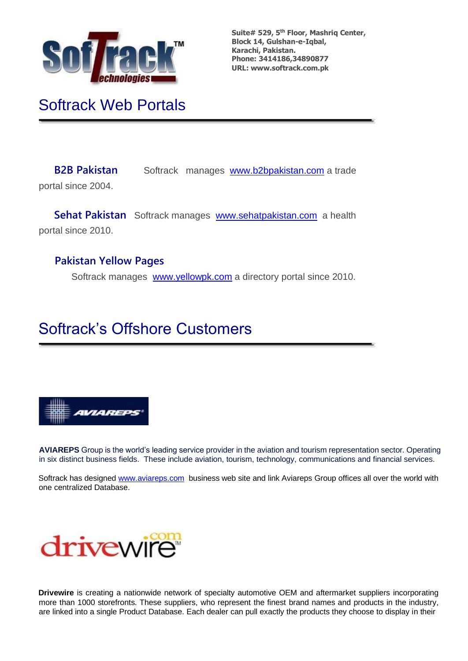

# Softrack Web Portals

**B2B Pakistan** Softrack manages [www.b2bpakistan.com](http://www.b2bpakistan.com/) a trade portal since 2004.

**Sehat Pakistan** Softrack manages [www.sehatpakistan.com](http://www.sehatpakistan.com/) a health portal since 2010.

#### **Pakistan Yellow Pages**

Softrack manages [www.yellowpk.com](http://www.yellowpk.com/) a directory portal since 2010.

# Softrack's Offshore Customers



**AVIAREPS** Group is the world's leading service provider in the aviation and tourism representation sector. Operating in six distinct business fields. These include aviation, tourism, technology, communications and financial services.

Softrack has designed [www.aviareps.com](http://www.aviareps.com/) business web site and link Aviareps Group offices all over the world with one centralized Database.



**Drivewire** is creating a nationwide network of specialty automotive OEM and aftermarket suppliers incorporating more than 1000 storefronts. These suppliers, who represent the finest brand names and products in the industry, are linked into a single Product Database. Each dealer can pull exactly the products they choose to display in their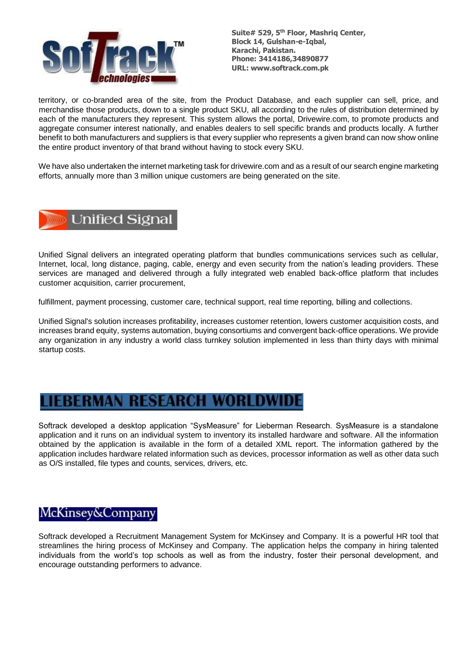

territory, or co-branded area of the site, from the Product Database, and each supplier can sell, price, and merchandise those products, down to a single product SKU, all according to the rules of distribution determined by each of the manufacturers they represent. This system allows the portal, Drivewire.com, to promote products and aggregate consumer interest nationally, and enables dealers to sell specific brands and products locally. A further benefit to both manufacturers and suppliers is that every supplier who represents a given brand can now show online the entire product inventory of that brand without having to stock every SKU.

We have also undertaken the internet marketing task for drivewire.com and as a result of our search engine marketing efforts, annually more than 3 million unique customers are being generated on the site.



Unified Signal delivers an integrated operating platform that bundles communications services such as cellular, Internet, local, long distance, paging, cable, energy and even security from the nation's leading providers. These services are managed and delivered through a fully integrated web enabled back-office platform that includes customer acquisition, carrier procurement,

fulfillment, payment processing, customer care, technical support, real time reporting, billing and collections.

Unified Signal's solution increases profitability, increases customer retention, lowers customer acquisition costs, and increases brand equity, systems automation, buying consortiums and convergent back-office operations. We provide any organization in any industry a world class turnkey solution implemented in less than thirty days with minimal startup costs.

### ERMAN RESEARCH WORLDWID

Softrack developed a desktop application "SysMeasure" for Lieberman Research. SysMeasure is a standalone application and it runs on an individual system to inventory its installed hardware and software. All the information obtained by the application is available in the form of a detailed XML report. The information gathered by the application includes hardware related information such as devices, processor information as well as other data such as O/S installed, file types and counts, services, drivers, etc.

#### McKinsey&Company

Softrack developed a Recruitment Management System for McKinsey and Company. It is a powerful HR tool that streamlines the hiring process of McKinsey and Company. The application helps the company in hiring talented individuals from the world's top schools as well as from the industry, foster their personal development, and encourage outstanding performers to advance.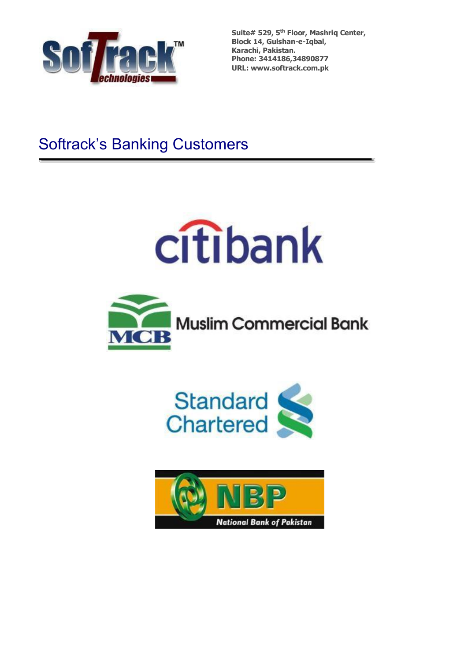

# Softrack's Banking Customers







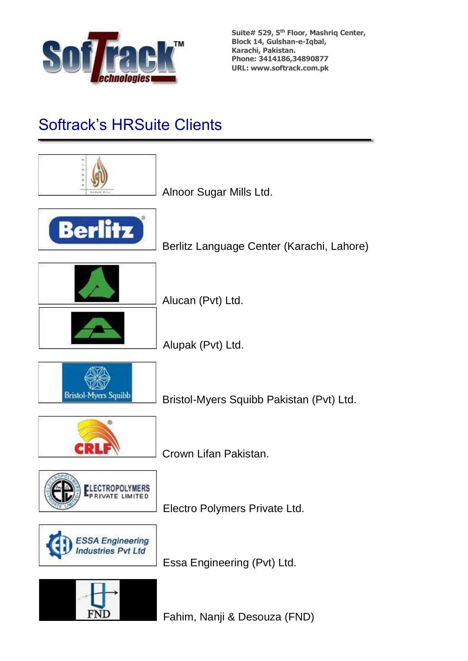

# Softrack's HRSuite Clients

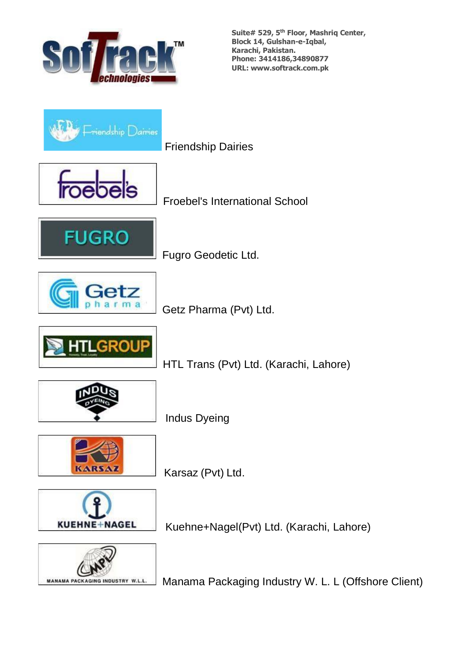



Friendship Dairies



Froebel's International School



Fugro Geodetic Ltd.



Getz Pharma (Pvt) Ltd.



HTL Trans (Pvt) Ltd. (Karachi, Lahore)



Indus Dyeing



Karsaz (Pvt) Ltd.



Kuehne+Nagel(Pvt) Ltd. (Karachi, Lahore)



Manama Packaging Industry W. L. L (Offshore Client)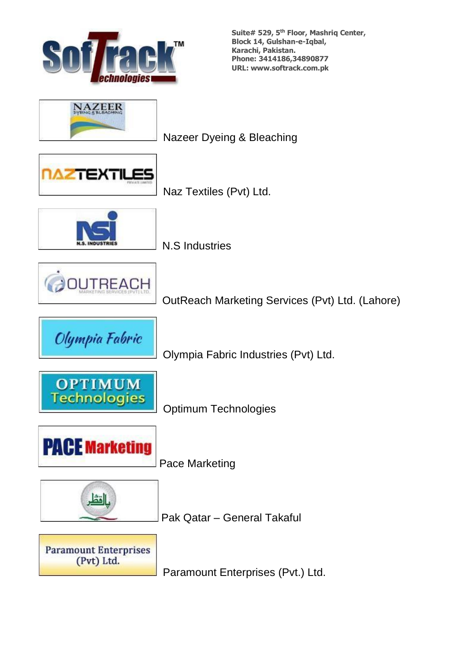



Nazeer Dyeing & Bleaching



Naz Textiles (Pvt) Ltd.



N.S Industries



OutReach Marketing Services (Pvt) Ltd. (Lahore)



Olympia Fabric Industries (Pvt) Ltd.



Optimum Technologies



Pace Marketing



Pak Qatar – General Takaful



Paramount Enterprises (Pvt.) Ltd.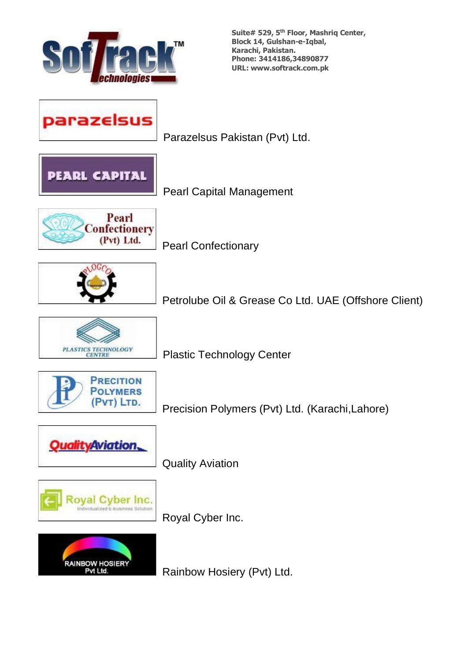

parazelsus

Parazelsus Pakistan (Pvt) Ltd.



Pearl Capital Management



Pearl Confectionary



Petrolube Oil & Grease Co Ltd. UAE (Offshore Client)



Plastic Technology Center



Precision Polymers (Pvt) Ltd. (Karachi,Lahore)



Quality Aviation



Royal Cyber Inc.



Rainbow Hosiery (Pvt) Ltd.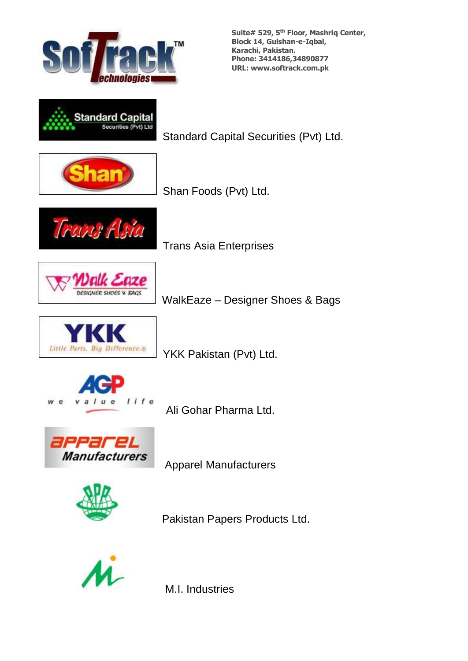



Standard Capital Securities (Pvt) Ltd.



Shan Foods (Pvt) Ltd.



Trans Asia Enterprises



WalkEaze – Designer Shoes & Bags



YKK Pakistan (Pvt) Ltd.



Ali Gohar Pharma Ltd.



Apparel Manufacturers



Pakistan Papers Products Ltd.



M.I. Industries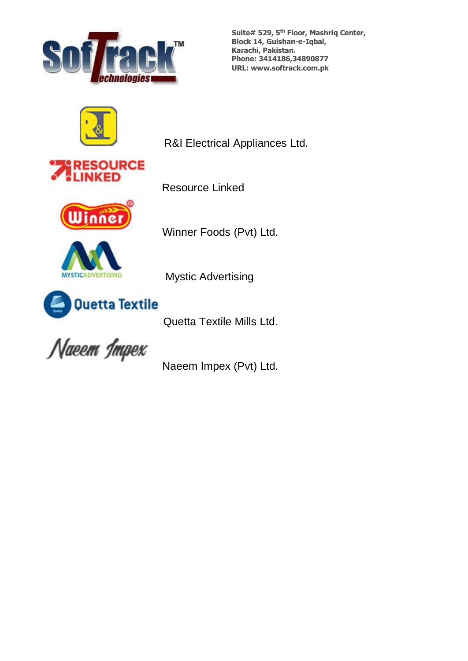



R&I Electrical Appliances Ltd.







Resource Linked

Winner Foods (Pvt) Ltd.



Mystic Advertising

Quetta Textile Mills Ltd.

Naeem Impex

Naeem Impex (Pvt) Ltd.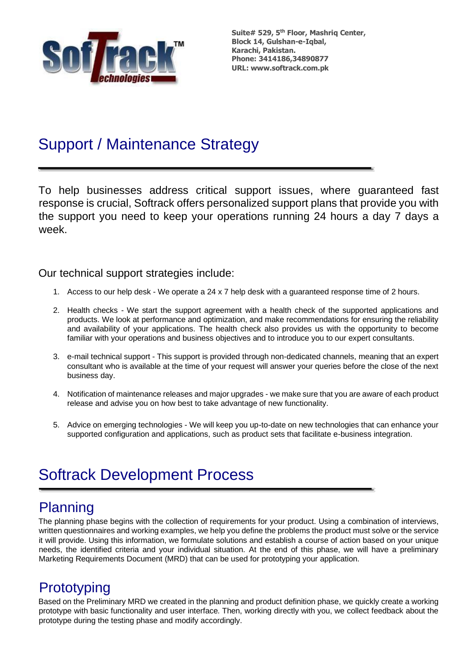

# Support / Maintenance Strategy

To help businesses address critical support issues, where guaranteed fast response is crucial, Softrack offers personalized support plans that provide you with the support you need to keep your operations running 24 hours a day 7 days a week.

#### Our technical support strategies include:

- 1. Access to our help desk We operate a 24 x 7 help desk with a guaranteed response time of 2 hours.
- 2. Health checks We start the support agreement with a health check of the supported applications and products. We look at performance and optimization, and make recommendations for ensuring the reliability and availability of your applications. The health check also provides us with the opportunity to become familiar with your operations and business objectives and to introduce you to our expert consultants.
- 3. e-mail technical support This support is provided through non-dedicated channels, meaning that an expert consultant who is available at the time of your request will answer your queries before the close of the next business day.
- 4. Notification of maintenance releases and major upgrades we make sure that you are aware of each product release and advise you on how best to take advantage of new functionality.
- 5. Advice on emerging technologies We will keep you up-to-date on new technologies that can enhance your supported configuration and applications, such as product sets that facilitate e-business integration.

# Softrack Development Process

# **Planning**

The planning phase begins with the collection of requirements for your product. Using a combination of interviews, written questionnaires and working examples, we help you define the problems the product must solve or the service it will provide. Using this information, we formulate solutions and establish a course of action based on your unique needs, the identified criteria and your individual situation. At the end of this phase, we will have a preliminary Marketing Requirements Document (MRD) that can be used for prototyping your application.

## **Prototyping**

Based on the Preliminary MRD we created in the planning and product definition phase, we quickly create a working prototype with basic functionality and user interface. Then, working directly with you, we collect feedback about the prototype during the testing phase and modify accordingly.